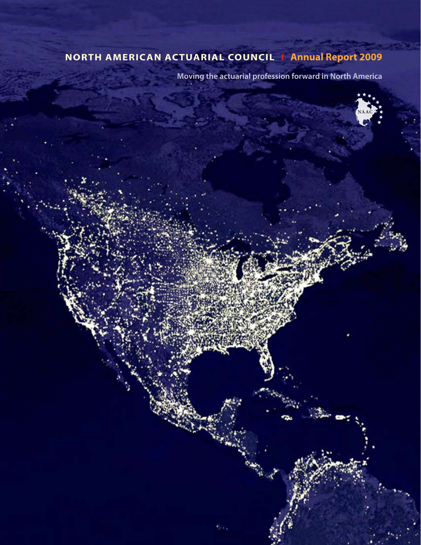# **North American Actuarial Council I Annual Report 2009**

**Moving the actuarial profession forward in North America**

**NAAC**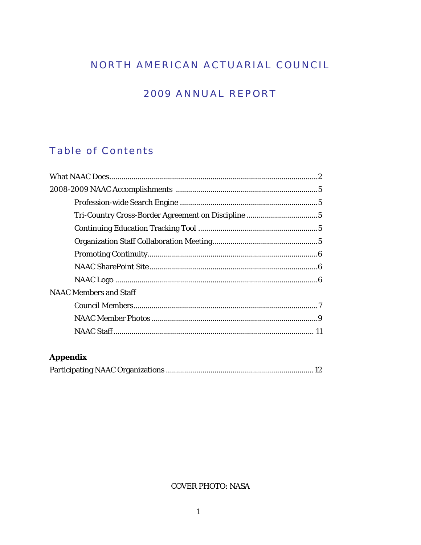# NORTH AMERICAN ACTUARIAL COUNCIL

# **2009 ANNUAL REPORT**

# **Table of Contents**

| <b>NAAC Members and Staff</b> |  |
|-------------------------------|--|
|                               |  |
|                               |  |
|                               |  |
|                               |  |

## **Appendix**

### **COVER PHOTO: NASA**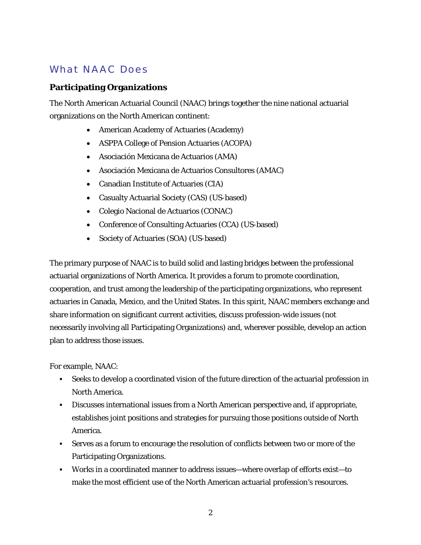## What NAAC Does

### **Participating Organizations**

The North American Actuarial Council (NAAC) brings together the nine national actuarial organizations on the North American continent:

- American Academy of Actuaries (Academy)
- ASPPA College of Pension Actuaries (ACOPA)
- Asociación Mexicana de Actuarios (AMA)
- Asociación Mexicana de Actuarios Consultores (AMAC)
- Canadian Institute of Actuaries (CIA)
- Casualty Actuarial Society (CAS) (US-based)
- Colegio Nacional de Actuarios (CONAC)
- Conference of Consulting Actuaries (CCA) (US-based)
- Society of Actuaries (SOA) (US-based)

The primary purpose of NAAC is to build solid and lasting bridges between the professional actuarial organizations of North America. It provides a forum to promote coordination, cooperation, and trust among the leadership of the participating organizations, who represent actuaries in Canada, Mexico, and the United States. In this spirit, NAAC members exchange and share information on significant current activities, discuss profession-wide issues (not necessarily involving all Participating Organizations) and, wherever possible, develop an action plan to address those issues.

For example, NAAC:

- Seeks to develop a coordinated vision of the future direction of the actuarial profession in North America.
- Discusses international issues from a North American perspective and, if appropriate, establishes joint positions and strategies for pursuing those positions outside of North America.
- Serves as a forum to encourage the resolution of conflicts between two or more of the Participating Organizations.
- Works in a coordinated manner to address issues—where overlap of efforts exist—to make the most efficient use of the North American actuarial profession's resources.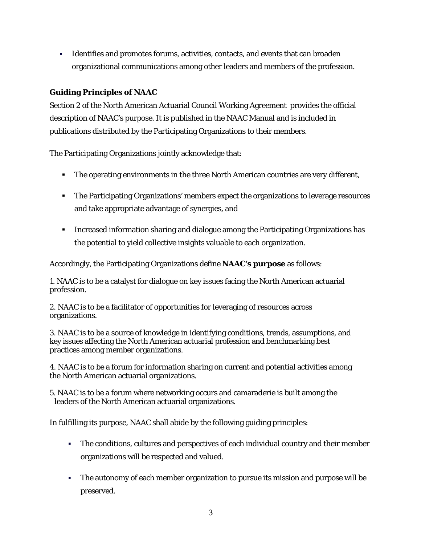Identifies and promotes forums, activities, contacts, and events that can broaden organizational communications among other leaders and members of the profession.

### **Guiding Principles of NAAC**

Section 2 of the North American Actuarial Council Working Agreement provides the official description of NAAC's purpose. It is published in the NAAC Manual and is included in publications distributed by the Participating Organizations to their members.

The Participating Organizations jointly acknowledge that:

- The operating environments in the three North American countries are very different,
- **The Participating Organizations' members expect the organizations to leverage resources** and take appropriate advantage of synergies, and
- **IFF** Increased information sharing and dialogue among the Participating Organizations has the potential to yield collective insights valuable to each organization.

Accordingly, the Participating Organizations define **NAAC's purpose** as follows:

1. NAAC is to be a catalyst for dialogue on key issues facing the North American actuarial profession.

2. NAAC is to be a facilitator of opportunities for leveraging of resources across organizations.

3. NAAC is to be a source of knowledge in identifying conditions, trends, assumptions, and key issues affecting the North American actuarial profession and benchmarking best practices among member organizations.

4. NAAC is to be a forum for information sharing on current and potential activities among the North American actuarial organizations.

5. NAAC is to be a forum where networking occurs and camaraderie is built among the leaders of the North American actuarial organizations.

In fulfilling its purpose, NAAC shall abide by the following guiding principles:

- The conditions, cultures and perspectives of each individual country and their member organizations will be respected and valued.
- The autonomy of each member organization to pursue its mission and purpose will be preserved.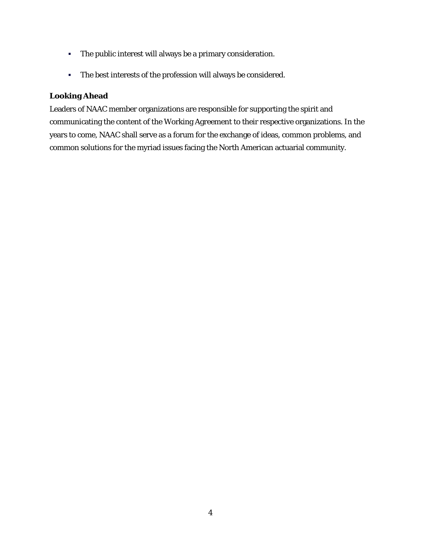- The public interest will always be a primary consideration.
- The best interests of the profession will always be considered.

### **Looking Ahead**

Leaders of NAAC member organizations are responsible for supporting the spirit and communicating the content of the Working Agreement to their respective organizations. In the years to come, NAAC shall serve as a forum for the exchange of ideas, common problems, and common solutions for the myriad issues facing the North American actuarial community.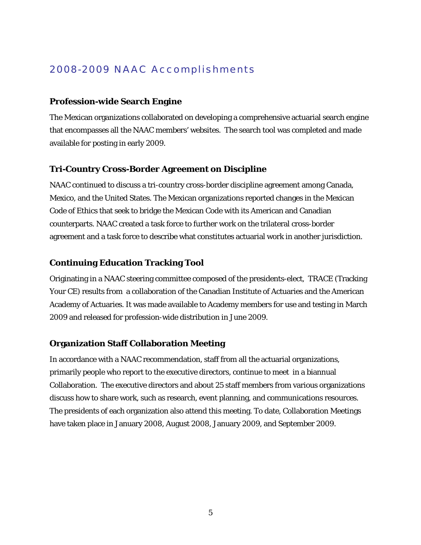## 2008-2009 NAAC Accomplishments

#### **Profession-wide Search Engine**

The Mexican organizations collaborated on developing a comprehensive actuarial search engine that encompasses all the NAAC members' websites. The search tool was completed and made available for posting in early 2009.

#### **Tri-Country Cross-Border Agreement on Discipline**

NAAC continued to discuss a tri-country cross-border discipline agreement among Canada, Mexico, and the United States. The Mexican organizations reported changes in the Mexican Code of Ethics that seek to bridge the Mexican Code with its American and Canadian counterparts. NAAC created a task force to further work on the trilateral cross-border agreement and a task force to describe what constitutes actuarial work in another jurisdiction.

#### **Continuing Education Tracking Tool**

Originating in a NAAC steering committee composed of the presidents-elect, TRACE (Tracking Your CE) results from a collaboration of the Canadian Institute of Actuaries and the American Academy of Actuaries. It was made available to Academy members for use and testing in March 2009 and released for profession-wide distribution in June 2009.

#### **Organization Staff Collaboration Meeting**

In accordance with a NAAC recommendation, staff from all the actuarial organizations, primarily people who report to the executive directors, continue to meet in a biannual Collaboration. The executive directors and about 25 staff members from various organizations discuss how to share work, such as research, event planning, and communications resources. The presidents of each organization also attend this meeting. To date, Collaboration Meetings have taken place in January 2008, August 2008, January 2009, and September 2009.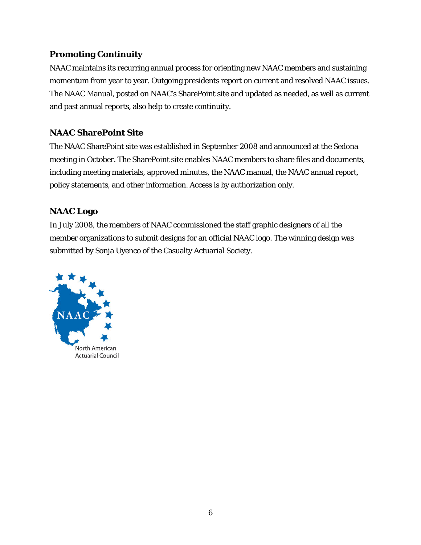### **Promoting Continuity**

NAAC maintains its recurring annual process for orienting new NAAC members and sustaining momentum from year to year. Outgoing presidents report on current and resolved NAAC issues. The NAAC Manual, posted on NAAC's SharePoint site and updated as needed, as well as current and past annual reports, also help to create continuity.

## **NAAC SharePoint Site**

The NAAC SharePoint site was established in September 2008 and announced at the Sedona meeting in October. The SharePoint site enables NAAC members to share files and documents, including meeting materials, approved minutes, the NAAC manual, the NAAC annual report, policy statements, and other information. Access is by authorization only.

## **NAAC Logo**

In July 2008, the members of NAAC commissioned the staff graphic designers of all the member organizations to submit designs for an official NAAC logo. The winning design was submitted by Sonja Uyenco of the Casualty Actuarial Society.

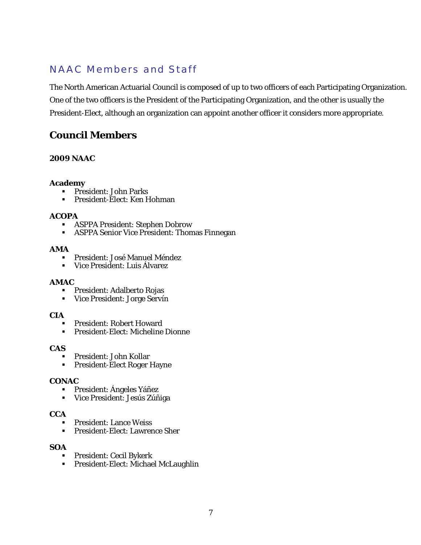## NAAC Members and Staff

The North American Actuarial Council is composed of up to two officers of each Participating Organization. One of the two officers is the President of the Participating Organization, and the other is usually the President-Elect, although an organization can appoint another officer it considers more appropriate.

## **Council Members**

#### **2009 NAAC**

#### **Academy**

- **President: John Parks**
- President-Elect: Ken Hohman

#### **ACOPA**

- ASPPA President: Stephen Dobrow
- ASPPA Senior Vice President: Thomas Finnegan

#### **AMA**

- President: José Manuel Méndez
- Vice President: Luis Álvarez

#### **AMAC**

- President: Adalberto Rojas
- Vice President: Jorge Servín

#### **CIA**

- President: Robert Howard
- President-Elect: Micheline Dionne

#### **CAS**

- President: John Kollar
- **President-Elect Roger Hayne**

#### **CONAC**

- President: Ángeles Yáñez
- Vice President: Jesús Zúñiga

### **CCA**

- President: Lance Weiss
- **President-Elect: Lawrence Sher**

#### **SOA**

- **President: Cecil Bykerk**
- **President-Elect: Michael McLaughlin**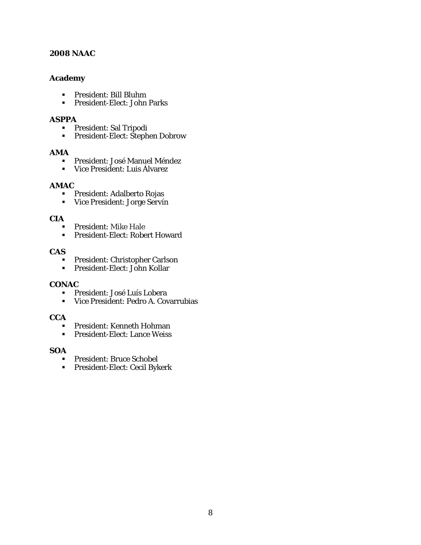#### **2008 NAAC**

#### **Academy**

- President: Bill Bluhm
- President-Elect: John Parks

#### **ASPPA**

- **President: Sal Tripodi<br>President-Elect: Steph**
- President-Elect: Stephen Dobrow

#### **AMA**

- **President: José Manuel Méndez<br>President: Luis Álvarez**
- Vice President: Luis Álvarez

#### **AMAC**

- President: Adalberto Rojas
- Vice President: Jorge Servín

#### **CIA**

- **President: Mike Hale**<br>**President-Elect: Robe**
- President-Elect: Robert Howard

#### **CAS**

- **President: Christopher Carlson**
- President-Elect: John Kollar

#### **CONAC**

- President: José Luís Lobera
- Vice President: Pedro A. Covarrubias

#### **CCA**

- President: Kenneth Hohman
- **President-Elect: Lance Weiss**

#### **SOA**

- **President: Bruce Schobel**
- **President-Elect: Cecil Bykerk**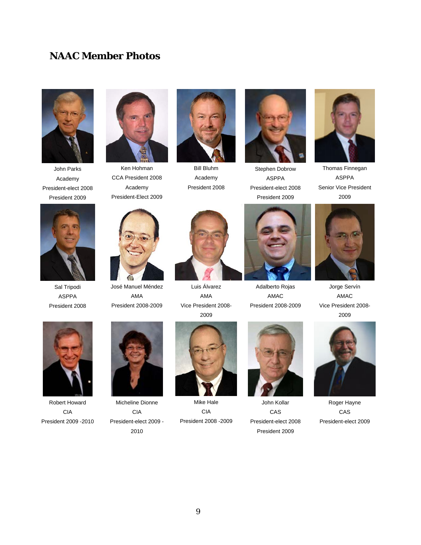## **NAAC Member Photos**



John Parks Academy President-elect 2008 President 2009



Ken Hohman CCA President 2008 Academy President-Elect 2009



José Manuel Méndez AMA President 2008-2009



Bill Bluhm Academy President 2008



Luis Álvarez AMA Vice President 2008- 2009



Stephen Dobrow ASPPA President-elect 2008 President 2009



Thomas Finnegan ASPPA Senior Vice President 2009



Jorge Servín AMAC Vice President 2008- 2009



Sal Tripodi ASPPA President 2008

Robert Howard CIA President 2009 -2010



Micheline Dionne CIA President-elect 2009 - 2010



Mike Hale CIA President 2008 -2009



Adalberto Rojas AMAC President 2008-2009

John Kollar CAS President-elect 2008 President 2009



Roger Hayne CAS President-elect 2009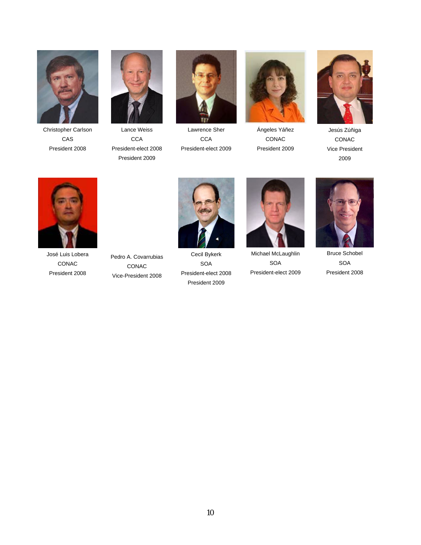

Christopher Carlson CAS President 2008



Lance Weiss **CCA** President-elect 2008 President 2009



Lawrence Sher **CCA** President-elect 2009



Ángeles Yáñez CONAC President 2009



Jesús Zúñiga CONAC Vice President 2009



José Luis Lobera CONAC President 2008

Pedro A. Covarrubias CONAC Vice-President 2008



Cecil Bykerk SOA President-elect 2008 President 2009



Michael McLaughlin SOA President-elect 2009



Bruce Schobel SOA President 2008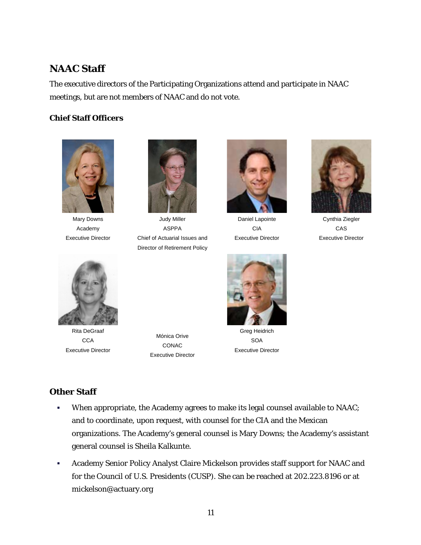## **NAAC Staff**

The executive directors of the Participating Organizations attend and participate in NAAC meetings, but are not members of NAAC and do not vote.

### **Chief Staff Officers**



Mary Downs Academy Executive Director



Judy Miller ASPPA Chief of Actuarial Issues and Director of Retirement Policy



Daniel Lapointe CIA Executive Director



Cynthia Ziegler CAS Executive Director



Rita DeGraaf **CCA** Executive Director

Mónica Orive CONAC Executive Director



Greg Heidrich SOA Executive Director

### **Other Staff**

- When appropriate, the Academy agrees to make its legal counsel available to NAAC; and to coordinate, upon request, with counsel for the CIA and the Mexican organizations. The Academy's general counsel is Mary Downs; the Academy's assistant general counsel is Sheila Kalkunte.
- Academy Senior Policy Analyst Claire Mickelson provides staff support for NAAC and for the Council of U.S. Presidents (CUSP). She can be reached at 202.223.8196 or at mickelson@actuary.org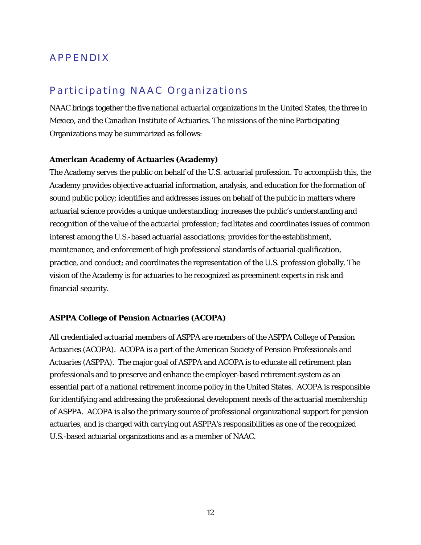## APPENDIX

## Participating NAAC Organizations

NAAC brings together the five national actuarial organizations in the United States, the three in Mexico, and the Canadian Institute of Actuaries. The missions of the nine Participating Organizations may be summarized as follows:

#### **American Academy of Actuaries (Academy)**

The Academy serves the public on behalf of the U.S. actuarial profession. To accomplish this, the Academy provides objective actuarial information, analysis, and education for the formation of sound public policy; identifies and addresses issues on behalf of the public in matters where actuarial science provides a unique understanding; increases the public's understanding and recognition of the value of the actuarial profession; facilitates and coordinates issues of common interest among the U.S.-based actuarial associations; provides for the establishment, maintenance, and enforcement of high professional standards of actuarial qualification, practice, and conduct; and coordinates the representation of the U.S. profession globally. The vision of the Academy is for actuaries to be recognized as preeminent experts in risk and financial security.

#### **ASPPA College of Pension Actuaries (ACOPA)**

All credentialed actuarial members of ASPPA are members of the ASPPA College of Pension Actuaries (ACOPA). ACOPA is a part of the American Society of Pension Professionals and Actuaries (ASPPA).The major goal of ASPPA and ACOPA is to educate all retirement plan professionals and to preserve and enhance the employer-based retirement system as an essential part of a national retirement income policy in the United States. ACOPA is responsible for identifying and addressing the professional development needs of the actuarial membership of ASPPA. ACOPA is also the primary source of professional organizational support for pension actuaries, and is charged with carrying out ASPPA's responsibilities as one of the recognized U.S.-based actuarial organizations and as a member of NAAC.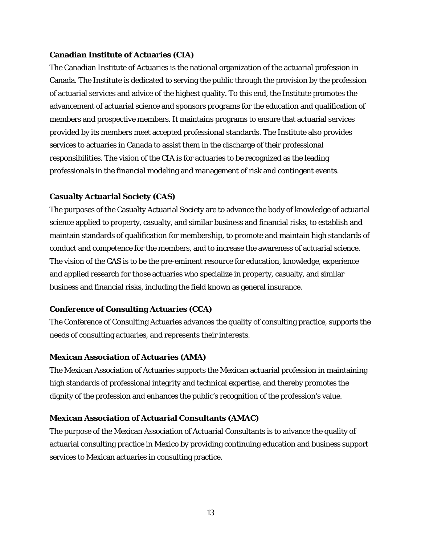#### **Canadian Institute of Actuaries (CIA)**

The Canadian Institute of Actuaries is the national organization of the actuarial profession in Canada. The Institute is dedicated to serving the public through the provision by the profession of actuarial services and advice of the highest quality. To this end, the Institute promotes the advancement of actuarial science and sponsors programs for the education and qualification of members and prospective members. It maintains programs to ensure that actuarial services provided by its members meet accepted professional standards. The Institute also provides services to actuaries in Canada to assist them in the discharge of their professional responsibilities. The vision of the CIA is for actuaries to be recognized as the leading professionals in the financial modeling and management of risk and contingent events.

#### **Casualty Actuarial Society (CAS)**

The purposes of the Casualty Actuarial Society are to advance the body of knowledge of actuarial science applied to property, casualty, and similar business and financial risks, to establish and maintain standards of qualification for membership, to promote and maintain high standards of conduct and competence for the members, and to increase the awareness of actuarial science. The vision of the CAS is to be the pre-eminent resource for education, knowledge, experience and applied research for those actuaries who specialize in property, casualty, and similar business and financial risks, including the field known as general insurance.

#### **Conference of Consulting Actuaries (CCA)**

The Conference of Consulting Actuaries advances the quality of consulting practice, supports the needs of consulting actuaries, and represents their interests.

#### **Mexican Association of Actuaries (AMA)**

The Mexican Association of Actuaries supports the Mexican actuarial profession in maintaining high standards of professional integrity and technical expertise, and thereby promotes the dignity of the profession and enhances the public's recognition of the profession's value.

#### **Mexican Association of Actuarial Consultants (AMAC)**

The purpose of the Mexican Association of Actuarial Consultants is to advance the quality of actuarial consulting practice in Mexico by providing continuing education and business support services to Mexican actuaries in consulting practice.